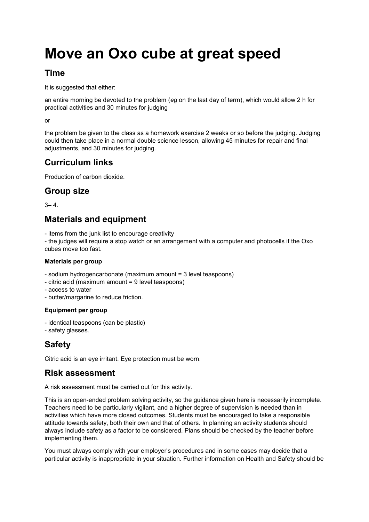# **Move an Oxo cube at great speed**

### **Time**

It is suggested that either:

an entire morning be devoted to the problem (*eg* on the last day of term), which would allow 2 h for practical activities and 30 minutes for judging

or

the problem be given to the class as a homework exercise 2 weeks or so before the judging. Judging could then take place in a normal double science lesson, allowing 45 minutes for repair and final adjustments, and 30 minutes for judging.

# **Curriculum links**

Production of carbon dioxide.

# **Group size**

 $3 - 4$ .

# **Materials and equipment**

- items from the junk list to encourage creativity

- the judges will require a stop watch or an arrangement with a computer and photocells if the Oxo cubes move too fast.

#### **Materials per group**

- sodium hydrogencarbonate (maximum amount = 3 level teaspoons)
- citric acid (maximum amount = 9 level teaspoons)
- access to water
- butter/margarine to reduce friction.

#### **Equipment per group**

- identical teaspoons (can be plastic)
- safety glasses.

# **Safety**

Citric acid is an eye irritant. Eye protection must be worn.

## **Risk assessment**

A risk assessment must be carried out for this activity.

This is an open-ended problem solving activity, so the guidance given here is necessarily incomplete. Teachers need to be particularly vigilant, and a higher degree of supervision is needed than in activities which have more closed outcomes. Students must be encouraged to take a responsible attitude towards safety, both their own and that of others. In planning an activity students should always include safety as a factor to be considered. Plans should be checked by the teacher before implementing them.

You must always comply with your employer's procedures and in some cases may decide that a particular activity is inappropriate in your situation. Further information on Health and Safety should be